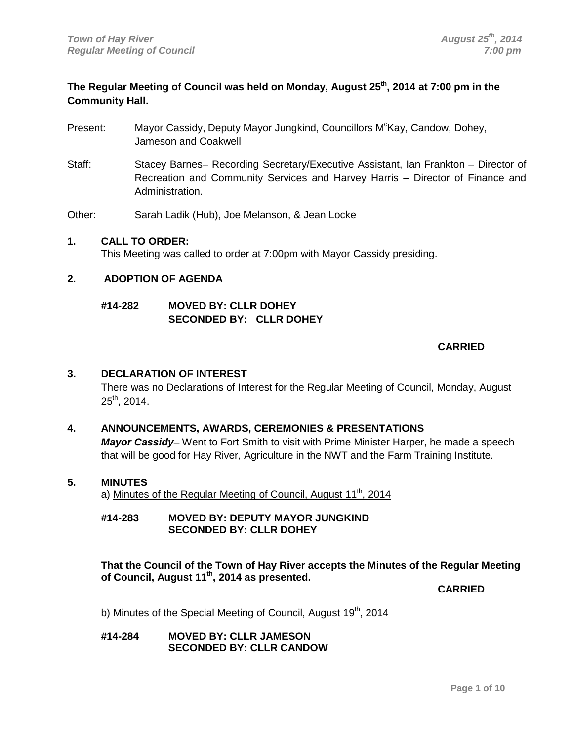# **The Regular Meeting of Council was held on Monday, August 25th, 2014 at 7:00 pm in the Community Hall.**

- Present: Mayor Cassidy, Deputy Mayor Jungkind, Councillors M<sup>c</sup>Kay, Candow, Dohey, Jameson and Coakwell
- Staff: Stacey Barnes– Recording Secretary/Executive Assistant, Ian Frankton Director of Recreation and Community Services and Harvey Harris – Director of Finance and Administration.

Other: Sarah Ladik (Hub), Joe Melanson, & Jean Locke

# **1. CALL TO ORDER:**

This Meeting was called to order at 7:00pm with Mayor Cassidy presiding.

# **2. ADOPTION OF AGENDA**

# **#14-282 MOVED BY: CLLR DOHEY SECONDED BY: CLLR DOHEY**

# **CARRIED**

# **3. DECLARATION OF INTEREST**

There was no Declarations of Interest for the Regular Meeting of Council, Monday, August  $25<sup>th</sup>$ , 2014.

# **4. ANNOUNCEMENTS, AWARDS, CEREMONIES & PRESENTATIONS**

*Mayor Cassidy*– Went to Fort Smith to visit with Prime Minister Harper, he made a speech that will be good for Hay River, Agriculture in the NWT and the Farm Training Institute.

## **5. MINUTES**

a) Minutes of the Regular Meeting of Council, August 11<sup>th</sup>, 2014

# **#14-283 MOVED BY: DEPUTY MAYOR JUNGKIND SECONDED BY: CLLR DOHEY**

**That the Council of the Town of Hay River accepts the Minutes of the Regular Meeting of Council, August 11th, 2014 as presented.**

**CARRIED**

b) Minutes of the Special Meeting of Council, August 19<sup>th</sup>, 2014

## **#14-284 MOVED BY: CLLR JAMESON SECONDED BY: CLLR CANDOW**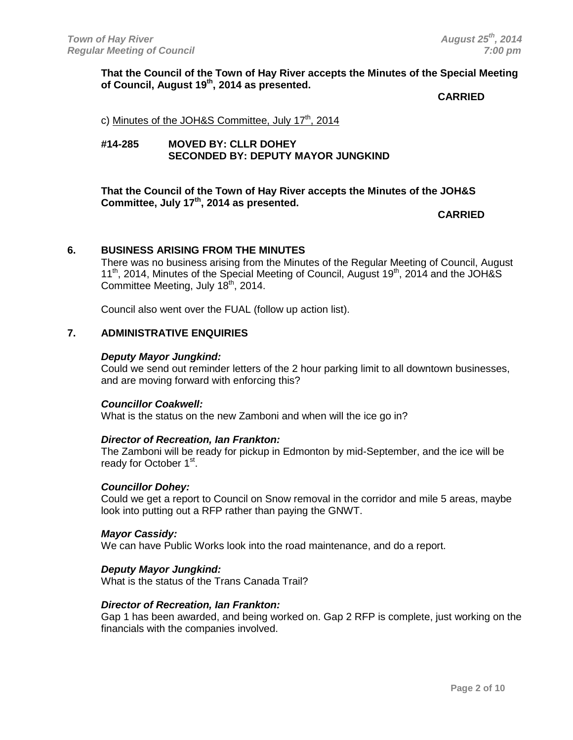# **That the Council of the Town of Hay River accepts the Minutes of the Special Meeting of Council, August 19th , 2014 as presented.**

### **CARRIED**

c) Minutes of the JOH&S Committee, July  $17<sup>th</sup>$ , 2014

# **#14-285 MOVED BY: CLLR DOHEY SECONDED BY: DEPUTY MAYOR JUNGKIND**

# **That the Council of the Town of Hay River accepts the Minutes of the JOH&S**  Committee, July 17<sup>th</sup>, 2014 as presented.

**CARRIED**

# **6. BUSINESS ARISING FROM THE MINUTES**

There was no business arising from the Minutes of the Regular Meeting of Council, August  $11<sup>th</sup>$ , 2014, Minutes of the Special Meeting of Council, August  $19<sup>th</sup>$ , 2014 and the JOH&S Committee Meeting, July 18<sup>th</sup>, 2014.

Council also went over the FUAL (follow up action list).

## **7. ADMINISTRATIVE ENQUIRIES**

#### *Deputy Mayor Jungkind:*

Could we send out reminder letters of the 2 hour parking limit to all downtown businesses, and are moving forward with enforcing this?

#### *Councillor Coakwell:*

What is the status on the new Zamboni and when will the ice go in?

#### *Director of Recreation, Ian Frankton:*

The Zamboni will be ready for pickup in Edmonton by mid-September, and the ice will be ready for October 1<sup>st</sup>.

#### *Councillor Dohey:*

Could we get a report to Council on Snow removal in the corridor and mile 5 areas, maybe look into putting out a RFP rather than paying the GNWT.

#### *Mayor Cassidy:*

We can have Public Works look into the road maintenance, and do a report.

#### *Deputy Mayor Jungkind:*

What is the status of the Trans Canada Trail?

#### *Director of Recreation, Ian Frankton:*

Gap 1 has been awarded, and being worked on. Gap 2 RFP is complete, just working on the financials with the companies involved.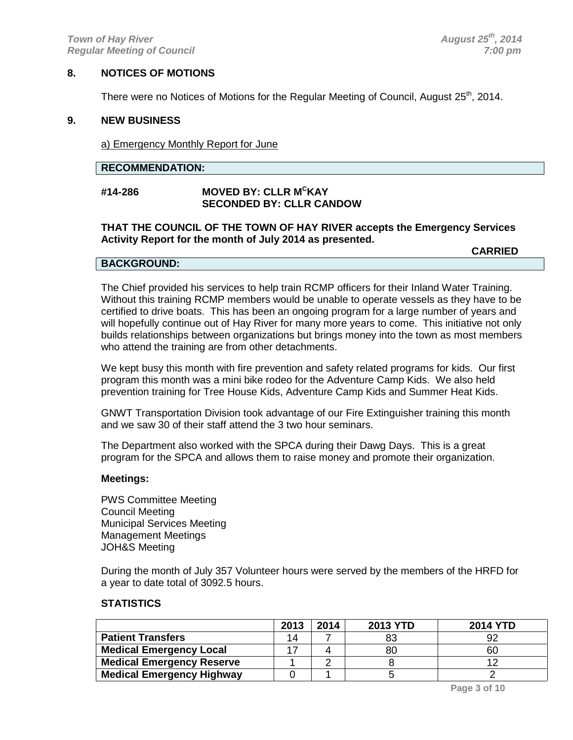# **8. NOTICES OF MOTIONS**

There were no Notices of Motions for the Regular Meeting of Council, August  $25<sup>th</sup>$ , 2014.

#### **9. NEW BUSINESS**

a) Emergency Monthly Report for June

#### **RECOMMENDATION:**

# **#14-286 MOVED BY: CLLR MCKAY SECONDED BY: CLLR CANDOW**

#### **THAT THE COUNCIL OF THE TOWN OF HAY RIVER accepts the Emergency Services Activity Report for the month of July 2014 as presented.**

**CARRIED**

## **BACKGROUND:**

The Chief provided his services to help train RCMP officers for their Inland Water Training. Without this training RCMP members would be unable to operate vessels as they have to be certified to drive boats. This has been an ongoing program for a large number of years and will hopefully continue out of Hay River for many more years to come. This initiative not only builds relationships between organizations but brings money into the town as most members who attend the training are from other detachments.

We kept busy this month with fire prevention and safety related programs for kids. Our first program this month was a mini bike rodeo for the Adventure Camp Kids. We also held prevention training for Tree House Kids, Adventure Camp Kids and Summer Heat Kids.

GNWT Transportation Division took advantage of our Fire Extinguisher training this month and we saw 30 of their staff attend the 3 two hour seminars.

The Department also worked with the SPCA during their Dawg Days. This is a great program for the SPCA and allows them to raise money and promote their organization.

## **Meetings:**

PWS Committee Meeting Council Meeting Municipal Services Meeting Management Meetings JOH&S Meeting

During the month of July 357 Volunteer hours were served by the members of the HRFD for a year to date total of 3092.5 hours.

# **STATISTICS**

|                                  | 2013 | 2014 | <b>2013 YTD</b> | <b>2014 YTD</b> |
|----------------------------------|------|------|-----------------|-----------------|
| <b>Patient Transfers</b>         | 14   |      | 83              | 92              |
| <b>Medical Emergency Local</b>   |      |      | 80              | 60              |
| <b>Medical Emergency Reserve</b> |      |      |                 |                 |
| <b>Medical Emergency Highway</b> |      |      |                 |                 |

**Page 3 of 10**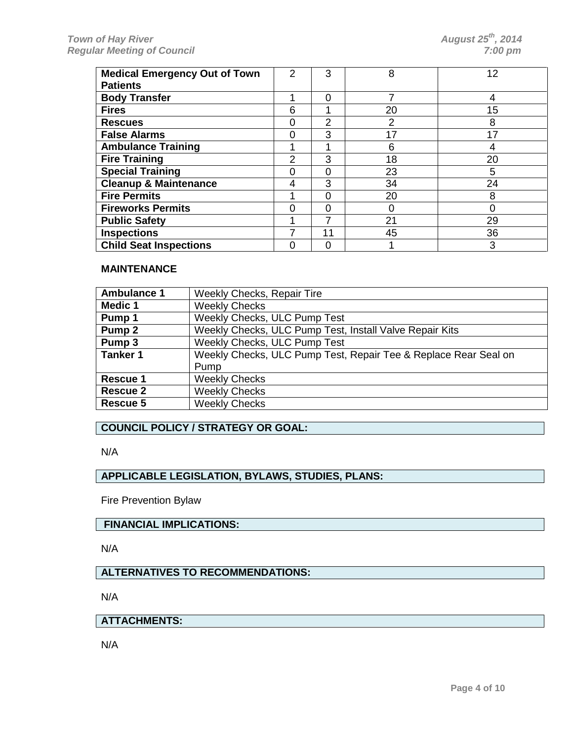| <b>Medical Emergency Out of Town</b><br><b>Patients</b> | 2        | 3  | 8  | 12 |
|---------------------------------------------------------|----------|----|----|----|
| <b>Body Transfer</b>                                    |          | 0  |    | 4  |
| <b>Fires</b>                                            | 6        |    | 20 | 15 |
| <b>Rescues</b>                                          | $\Omega$ | 2  | 2  | 8  |
| <b>False Alarms</b>                                     | O        | 3  | 17 | 17 |
| <b>Ambulance Training</b>                               |          |    | 6  |    |
| <b>Fire Training</b>                                    | 2        | 3  | 18 | 20 |
| <b>Special Training</b>                                 | 0        | 0  | 23 | 5  |
| <b>Cleanup &amp; Maintenance</b>                        | 4        | 3  | 34 | 24 |
| <b>Fire Permits</b>                                     |          | 0  | 20 | 8  |
| <b>Fireworks Permits</b>                                |          | O  |    | 0  |
| <b>Public Safety</b>                                    |          | 7  | 21 | 29 |
| <b>Inspections</b>                                      |          | 11 | 45 | 36 |
| <b>Child Seat Inspections</b>                           | O        | U  |    | 3  |

# **MAINTENANCE**

| <b>Ambulance 1</b> | <b>Weekly Checks, Repair Tire</b>                               |
|--------------------|-----------------------------------------------------------------|
| <b>Medic 1</b>     | <b>Weekly Checks</b>                                            |
| Pump 1             | Weekly Checks, ULC Pump Test                                    |
| Pump <sub>2</sub>  | Weekly Checks, ULC Pump Test, Install Valve Repair Kits         |
| Pump <sub>3</sub>  | <b>Weekly Checks, ULC Pump Test</b>                             |
| <b>Tanker 1</b>    | Weekly Checks, ULC Pump Test, Repair Tee & Replace Rear Seal on |
|                    | Pump                                                            |
| Rescue 1           | <b>Weekly Checks</b>                                            |
| Rescue 2           | <b>Weekly Checks</b>                                            |
| Rescue 5           | <b>Weekly Checks</b>                                            |

# **COUNCIL POLICY / STRATEGY OR GOAL:**

N/A

# **APPLICABLE LEGISLATION, BYLAWS, STUDIES, PLANS:**

Fire Prevention Bylaw

## **FINANCIAL IMPLICATIONS:**

N/A

# **ALTERNATIVES TO RECOMMENDATIONS:**

N/A

# **ATTACHMENTS:**

N/A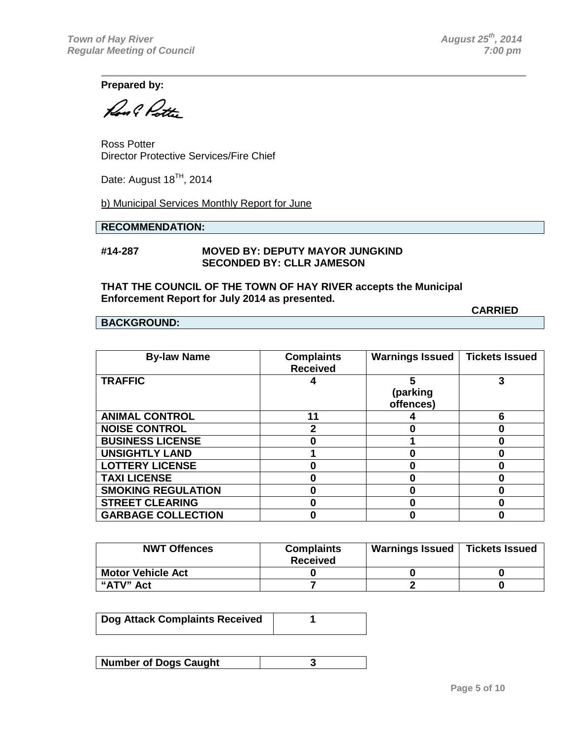**CARRIED**

**Prepared by:**

Rool Potter

Ross Potter Director Protective Services/Fire Chief

Date: August  $18<sup>TH</sup>$ , 2014

b) Municipal Services Monthly Report for June

# **RECOMMENDATION:**

## **#14-287 MOVED BY: DEPUTY MAYOR JUNGKIND SECONDED BY: CLLR JAMESON**

## **THAT THE COUNCIL OF THE TOWN OF HAY RIVER accepts the Municipal Enforcement Report for July 2014 as presented.**

#### **BACKGROUND:**

**By-law Name Complaints Received Warnings Issued Tickets Issued TRAFFIC 4 5 (parking offences) 3 ANIMAL CONTROL 11 4 6 NOISE CONTROL 2 0 0 BUSINESS LICENSE 0 1 0 UNSIGHTLY LAND 1 0 0 LOTTERY LICENSE 0 0 0 TAXI LICENSE 0 0 0 SMOKING REGULATION 0 0 0 STREET CLEARING 0 0 0 GARBAGE COLLECTION 0 0 0**

| <b>NWT Offences</b>      | <b>Complaints</b><br><b>Received</b> | <b>Warnings Issued</b> | <b>Tickets Issued</b> |
|--------------------------|--------------------------------------|------------------------|-----------------------|
| <b>Motor Vehicle Act</b> |                                      |                        |                       |
| "ATV" Act                |                                      |                        |                       |

| <b>Dog Attack Complaints Received</b> |  |
|---------------------------------------|--|
|                                       |  |

| <b>Number of Dogs Caught</b> |  |
|------------------------------|--|
|------------------------------|--|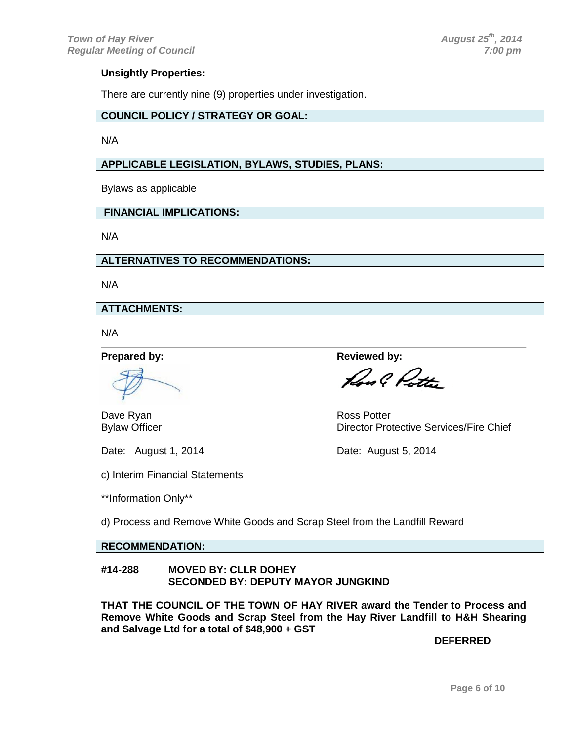# **Unsightly Properties:**

There are currently nine (9) properties under investigation.

# **COUNCIL POLICY / STRATEGY OR GOAL:**

N/A

# **APPLICABLE LEGISLATION, BYLAWS, STUDIES, PLANS:**

Bylaws as applicable

# **FINANCIAL IMPLICATIONS:**

N/A

**ALTERNATIVES TO RECOMMENDATIONS:**

N/A

**ATTACHMENTS:**

N/A

**Prepared by: Reviewed by: Reviewed by:** 

Dave Ryan **Ross** Potter

Date: August 1, 2014 **Date: August 5, 2014** 

Don C. Ditte

Bylaw Officer **Director Protective Services/Fire Chief** 

c) Interim Financial Statements

\*\*Information Only\*\*

d) Process and Remove White Goods and Scrap Steel from the Landfill Reward

# **RECOMMENDATION:**

#### **#14-288 MOVED BY: CLLR DOHEY SECONDED BY: DEPUTY MAYOR JUNGKIND**

**THAT THE COUNCIL OF THE TOWN OF HAY RIVER award the Tender to Process and Remove White Goods and Scrap Steel from the Hay River Landfill to H&H Shearing and Salvage Ltd for a total of \$48,900 + GST**

**DEFERRED**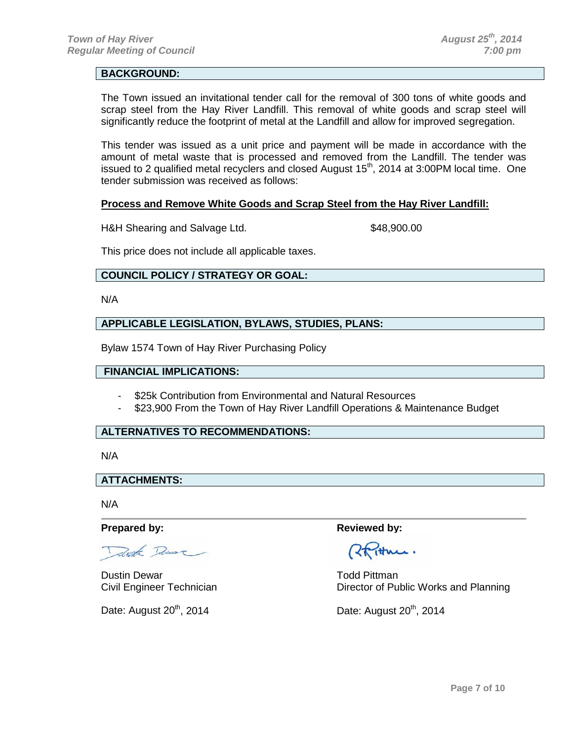# **BACKGROUND:**

The Town issued an invitational tender call for the removal of 300 tons of white goods and scrap steel from the Hay River Landfill. This removal of white goods and scrap steel will significantly reduce the footprint of metal at the Landfill and allow for improved segregation.

This tender was issued as a unit price and payment will be made in accordance with the amount of metal waste that is processed and removed from the Landfill. The tender was issued to 2 qualified metal recyclers and closed August  $15<sup>th</sup>$ , 2014 at 3:00PM local time. One tender submission was received as follows:

#### **Process and Remove White Goods and Scrap Steel from the Hay River Landfill:**

H&H Shearing and Salvage Ltd. \$48,900.00

This price does not include all applicable taxes.

# **COUNCIL POLICY / STRATEGY OR GOAL:**

N/A

# **APPLICABLE LEGISLATION, BYLAWS, STUDIES, PLANS:**

Bylaw 1574 Town of Hay River Purchasing Policy

### **FINANCIAL IMPLICATIONS:**

- \$25k Contribution from Environmental and Natural Resources
- \$23,900 From the Town of Hay River Landfill Operations & Maintenance Budget

# **ALTERNATIVES TO RECOMMENDATIONS:**

N/A

**ATTACHMENTS:**

N/A

Trook Remove

Dustin Dewar **Todd Pittman** 

Date: August  $20^{th}$ , 2014  $\qquad \qquad$ Date: August  $20^{th}$ , 2014

**Prepared by: Reviewed by: Reviewed by: Reviewed by:** 

Rtiture.

Civil Engineer Technician Director of Public Works and Planning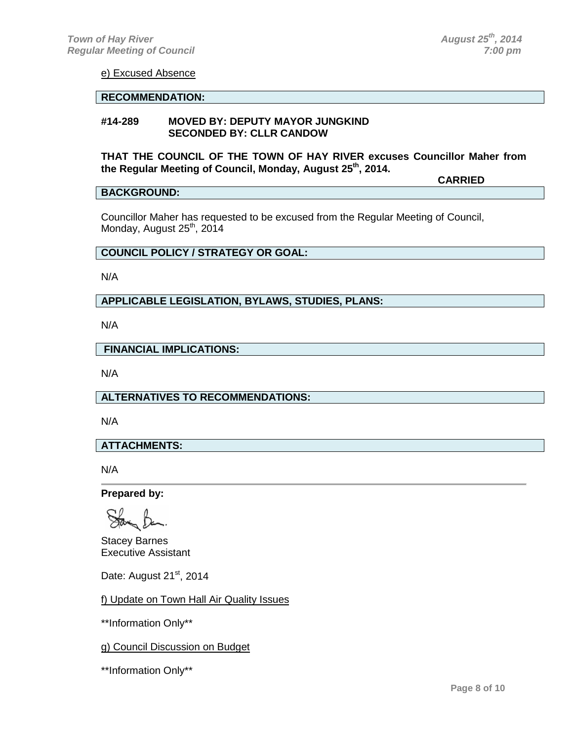**CARRIED**

#### e) Excused Absence

#### **RECOMMENDATION:**

#### **#14-289 MOVED BY: DEPUTY MAYOR JUNGKIND SECONDED BY: CLLR CANDOW**

**THAT THE COUNCIL OF THE TOWN OF HAY RIVER excuses Councillor Maher from the Regular Meeting of Council, Monday, August 25th, 2014.**

## **BACKGROUND:**

Councillor Maher has requested to be excused from the Regular Meeting of Council, Monday, August 25<sup>th</sup>, 2014

## **COUNCIL POLICY / STRATEGY OR GOAL:**

N/A

## **APPLICABLE LEGISLATION, BYLAWS, STUDIES, PLANS:**

N/A

**FINANCIAL IMPLICATIONS:**

N/A

**ALTERNATIVES TO RECOMMENDATIONS:**

N/A

## **ATTACHMENTS:**

N/A

**Prepared by:** 

Stacey Barnes Executive Assistant

Date: August 21<sup>st</sup>, 2014

f) Update on Town Hall Air Quality Issues

\*\*Information Only\*\*

g) Council Discussion on Budget

\*\*Information Only\*\*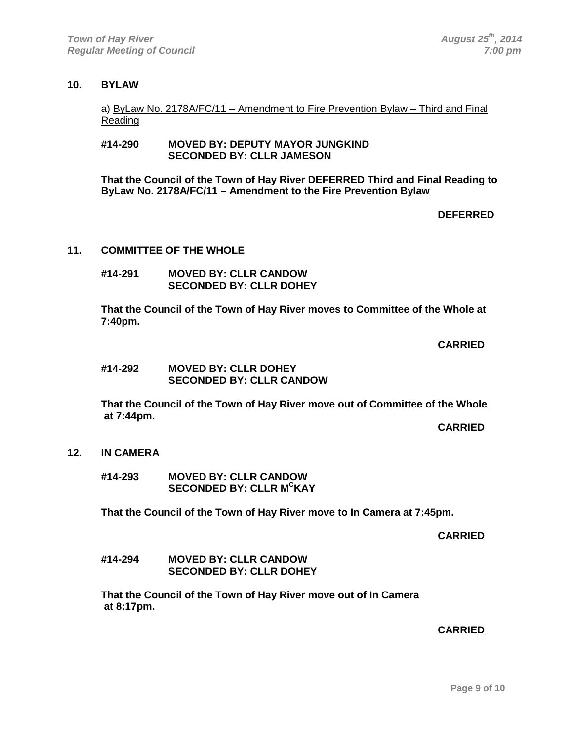# **10. BYLAW**

a) ByLaw No. 2178A/FC/11 – Amendment to Fire Prevention Bylaw – Third and Final Reading

## **#14-290 MOVED BY: DEPUTY MAYOR JUNGKIND SECONDED BY: CLLR JAMESON**

**That the Council of the Town of Hay River DEFERRED Third and Final Reading to ByLaw No. 2178A/FC/11 – Amendment to the Fire Prevention Bylaw**

## **DEFERRED**

#### **11. COMMITTEE OF THE WHOLE**

**#14-291 MOVED BY: CLLR CANDOW SECONDED BY: CLLR DOHEY**

**That the Council of the Town of Hay River moves to Committee of the Whole at 7:40pm.**

# **CARRIED**

**#14-292 MOVED BY: CLLR DOHEY SECONDED BY: CLLR CANDOW**

**That the Council of the Town of Hay River move out of Committee of the Whole at 7:44pm.**

 **CARRIED CARRIED** 

#### **12. IN CAMERA**

**#14-293 MOVED BY: CLLR CANDOW SECONDED BY: CLLR MCKAY**

**That the Council of the Town of Hay River move to In Camera at 7:45pm.**

**CARRIED**

**#14-294 MOVED BY: CLLR CANDOW SECONDED BY: CLLR DOHEY**

**That the Council of the Town of Hay River move out of In Camera at 8:17pm.**

 **CARRIED CARRIED**